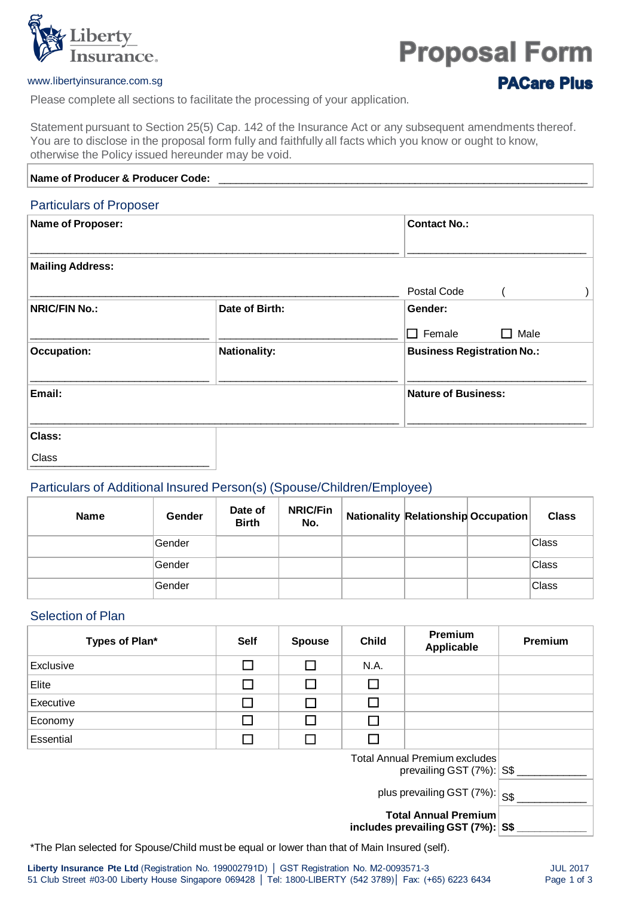

# **Proposal Form**

#### www.libertyinsurance.com.sg

**PACare Plus** 

Please complete all sections to facilitate the processing of your application.

Statement pursuant to Section 25(5) Cap. 142 of the Insurance Act or any subsequent amendments thereof. You are to disclose in the proposal form fully and faithfully all facts which you know or ought to know, otherwise the Policy issued hereunder may be void.

| Name of Producer & Producer Code: |                     |                                   |  |  |  |
|-----------------------------------|---------------------|-----------------------------------|--|--|--|
| <b>Particulars of Proposer</b>    |                     |                                   |  |  |  |
| Name of Proposer:                 |                     | <b>Contact No.:</b>               |  |  |  |
| <b>Mailing Address:</b>           |                     |                                   |  |  |  |
|                                   |                     | Postal Code                       |  |  |  |
| <b>NRIC/FIN No.:</b>              | Date of Birth:      | Gender:                           |  |  |  |
|                                   |                     | Female<br>Male<br>П<br>$\Box$     |  |  |  |
| <b>Occupation:</b>                | <b>Nationality:</b> | <b>Business Registration No.:</b> |  |  |  |
| Email:                            |                     | <b>Nature of Business:</b>        |  |  |  |
| Class:                            |                     |                                   |  |  |  |

URSS **LATER CONSTRUCTED** Class

#### Particulars of Additional Insured Person(s) (Spouse/Children/Employee)

| <b>Name</b> | Gender  | Date of<br><b>Birth</b> | <b>NRIC/Fin</b><br>No. | <b>Nationality Relationship Occupation</b> | <b>Class</b> |
|-------------|---------|-------------------------|------------------------|--------------------------------------------|--------------|
|             | ∣Gender |                         |                        |                                            | Class        |
|             | Gender  |                         |                        |                                            | Class        |
|             | ∣Gender |                         |                        |                                            | Class        |

## Selection of Plan

| Types of Plan*                                                       | <b>Self</b>                          | <b>Spouse</b> | <b>Child</b> | <b>Premium</b><br>Applicable | Premium |
|----------------------------------------------------------------------|--------------------------------------|---------------|--------------|------------------------------|---------|
| Exclusive                                                            |                                      | П             | N.A.         |                              |         |
| Elite                                                                |                                      | П             | □            |                              |         |
| Executive                                                            |                                      | П             | П            |                              |         |
| Economy                                                              | l 1                                  | П             | $\sim$       |                              |         |
| Essential                                                            |                                      |               | I            |                              |         |
| <b>Total Annual Premium excludes</b><br>prevailing GST $(7\%)$ : S\$ |                                      |               |              |                              |         |
|                                                                      | plus prevailing GST $(7%)$ : $ S$ \$ |               |              |                              |         |
| <b>Total Annual Premium</b>                                          |                                      |               |              |                              |         |

**includes prevailing GST (7%): S\$ \_\_\_\_\_\_\_\_\_\_\_\_**

\*The Plan selected for Spouse/Child must be equal or lower than that of Main Insured (self).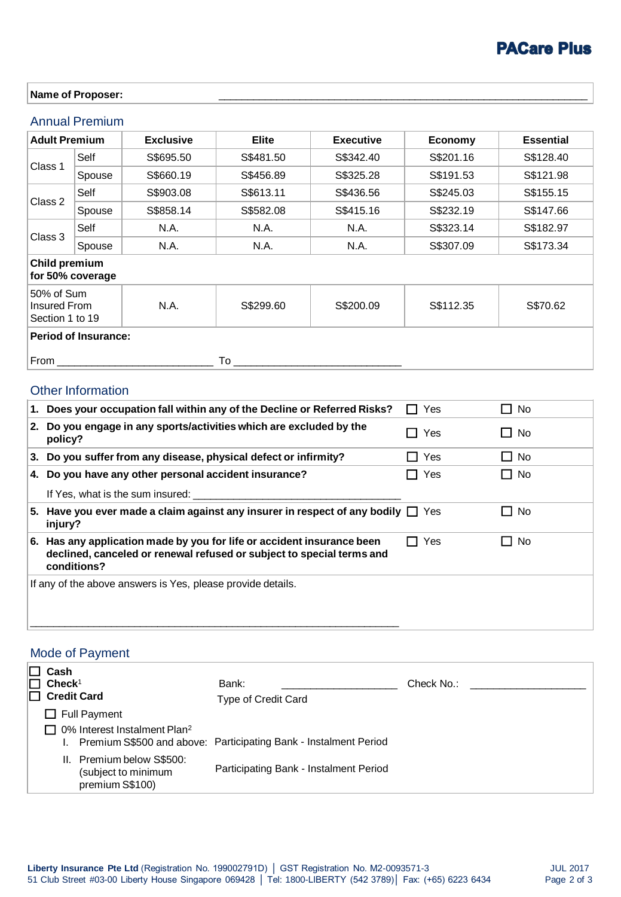# **PACare Plus**

#### Name of Proposer:

## Annual Premium

| <b>Adult Premium</b><br><b>Exclusive</b>                                                     |        |           | <b>Elite</b> | <b>Executive</b> | Economy   | <b>Essential</b> |
|----------------------------------------------------------------------------------------------|--------|-----------|--------------|------------------|-----------|------------------|
|                                                                                              | Self   | S\$695.50 | S\$481.50    | S\$342.40        | S\$201.16 | S\$128.40        |
| Class 1                                                                                      | Spouse | S\$660.19 | S\$456.89    | S\$325.28        | S\$191.53 | S\$121.98        |
| Class 2                                                                                      | Self   | S\$903.08 | S\$613.11    | S\$436.56        | S\$245.03 | S\$155.15        |
|                                                                                              | Spouse | S\$858.14 | S\$582.08    | S\$415.16        | S\$232.19 | S\$147.66        |
|                                                                                              | Self   | N.A.      | N.A.         | N.A.             | S\$323.14 | S\$182.97        |
| Class 3                                                                                      | Spouse | N.A.      | N.A.         | N.A.             | S\$307.09 | S\$173.34        |
| <b>Child premium</b><br>for 50% coverage                                                     |        |           |              |                  |           |                  |
| 50% of Sum<br>N.A.<br>S\$299.60<br>S\$200.09<br>S\$112.35<br>Insured From<br>Section 1 to 19 |        |           |              | S\$70.62         |           |                  |
| <b>Period of Insurance:</b>                                                                  |        |           |              |                  |           |                  |
| From<br>To                                                                                   |        |           |              |                  |           |                  |

## Other Information

| 1. Does your occupation fall within any of the Decline or Referred Risks?                                                                                      | Yes                   | ┓<br>No   |
|----------------------------------------------------------------------------------------------------------------------------------------------------------------|-----------------------|-----------|
| 2. Do you engage in any sports/activities which are excluded by the<br>policy?                                                                                 | Yes                   | $\Box$ No |
| 3. Do you suffer from any disease, physical defect or infirmity?                                                                                               | Yes<br>$\blacksquare$ | $\Box$ No |
| 4. Do you have any other personal accident insurance?<br>If Yes, what is the sum insured:                                                                      | Yes                   | $\Box$ No |
| 5. Have you ever made a claim against any insurer in respect of any bodily $\Box$ Yes<br>injury?                                                               |                       | $\Box$ No |
| 6. Has any application made by you for life or accident insurance been<br>declined, canceled or renewal refused or subject to special terms and<br>conditions? | <b>Yes</b>            | $\Box$ No |
| If any of the above answers is Yes, please provide details.                                                                                                    |                       |           |

# Mode of Payment

| $\Box$ Cash<br>$\Box$ Check <sup>1</sup><br>$\Box$ Credit Card      | Bank:<br><b>Type of Credit Card</b>                              | Check No.: |
|---------------------------------------------------------------------|------------------------------------------------------------------|------------|
| $\Box$ Full Payment                                                 |                                                                  |            |
| $\Box$ 0% Interest Instalment Plan <sup>2</sup>                     | Premium S\$500 and above: Participating Bank - Instalment Period |            |
| II. Premium below S\$500:<br>(subject to minimum<br>premium S\$100) | Participating Bank - Instalment Period                           |            |